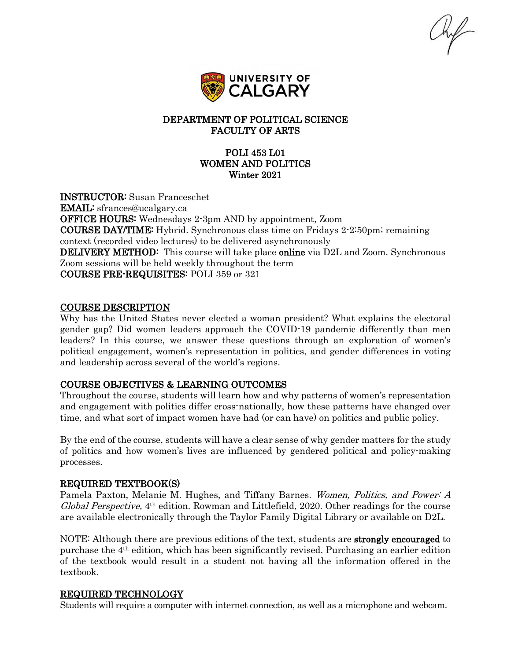

## DEPARTMENT OF POLITICAL SCIENCE FACULTY OF ARTS

## POLI 453 L01 WOMEN AND POLITICS Winter 2021

INSTRUCTOR: Susan Franceschet EMAIL: sfrances@ucalgary.ca OFFICE HOURS: Wednesdays 2-3pm AND by appointment, Zoom COURSE DAY/TIME: Hybrid. Synchronous class time on Fridays 2-2:50pm; remaining context (recorded video lectures) to be delivered asynchronously **DELIVERY METHOD:** This course will take place **online** via D2L and Zoom. Synchronous Zoom sessions will be held weekly throughout the term COURSE PRE-REQUISITES: POLI 359 or 321

### COURSE DESCRIPTION

Why has the United States never elected a woman president? What explains the electoral gender gap? Did women leaders approach the COVID-19 pandemic differently than men leaders? In this course, we answer these questions through an exploration of women's political engagement, women's representation in politics, and gender differences in voting and leadership across several of the world's regions.

### COURSE OBJECTIVES & LEARNING OUTCOMES

Throughout the course, students will learn how and why patterns of women's representation and engagement with politics differ cross-nationally, how these patterns have changed over time, and what sort of impact women have had (or can have) on politics and public policy.

By the end of the course, students will have a clear sense of why gender matters for the study of politics and how women's lives are influenced by gendered political and policy-making processes.

#### REQUIRED TEXTBOOK(S)

Pamela Paxton, Melanie M. Hughes, and Tiffany Barnes. Women, Politics, and Power: A Global Perspective,  $4<sup>th</sup>$  edition. Rowman and Littlefield, 2020. Other readings for the course are available electronically through the Taylor Family Digital Library or available on D2L.

NOTE: Although there are previous editions of the text, students are **strongly encouraged** to purchase the 4th edition, which has been significantly revised. Purchasing an earlier edition of the textbook would result in a student not having all the information offered in the textbook.

### REQUIRED TECHNOLOGY

Students will require a computer with internet connection, as well as a microphone and webcam.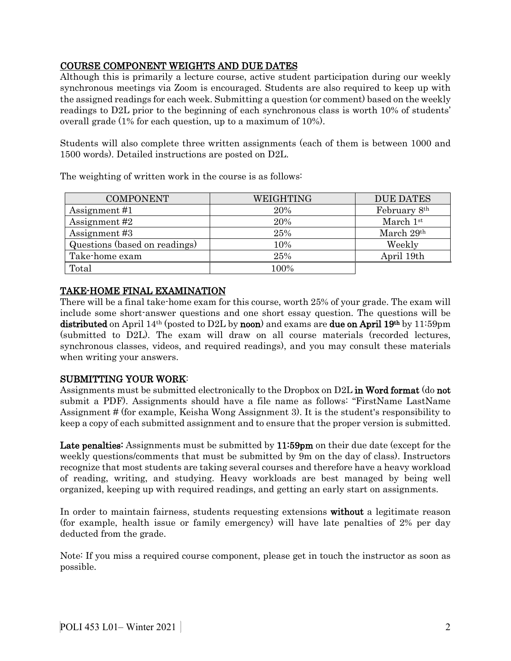# COURSE COMPONENT WEIGHTS AND DUE DATES

Although this is primarily a lecture course, active student participation during our weekly synchronous meetings via Zoom is encouraged. Students are also required to keep up with the assigned readings for each week. Submitting a question (or comment) based on the weekly readings to D2L prior to the beginning of each synchronous class is worth 10% of students' overall grade (1% for each question, up to a maximum of 10%).

Students will also complete three written assignments (each of them is between 1000 and 1500 words). Detailed instructions are posted on D2L.

| <b>COMPONENT</b>              | WEIGHTING | <b>DUE DATES</b> |
|-------------------------------|-----------|------------------|
| Assignment #1                 | 20%       | February 8th     |
| Assignment #2                 | 20%       | March $1st$      |
| Assignment #3                 | 25%       | March 29th       |
| Questions (based on readings) | 10%       | Weekly           |
| Take-home exam                | 25%       | April 19th       |
| Total                         | 100%      |                  |

The weighting of written work in the course is as follows:

# TAKE-HOME FINAL EXAMINATION

There will be a final take-home exam for this course, worth 25% of your grade. The exam will include some short-answer questions and one short essay question. The questions will be distributed on April 14<sup>th</sup> (posted to D2L by noon) and exams are due on April 19<sup>th</sup> by 11:59pm (submitted to D2L). The exam will draw on all course materials (recorded lectures, synchronous classes, videos, and required readings), and you may consult these materials when writing your answers.

# SUBMITTING YOUR WORK:

Assignments must be submitted electronically to the Dropbox on D2L in Word format (do not submit a PDF). Assignments should have a file name as follows: "FirstName LastName Assignment # (for example, Keisha Wong Assignment 3). It is the student's responsibility to keep a copy of each submitted assignment and to ensure that the proper version is submitted.

Late penalties: Assignments must be submitted by 11:59pm on their due date (except for the weekly questions/comments that must be submitted by 9m on the day of class). Instructors recognize that most students are taking several courses and therefore have a heavy workload of reading, writing, and studying. Heavy workloads are best managed by being well organized, keeping up with required readings, and getting an early start on assignments.

In order to maintain fairness, students requesting extensions without a legitimate reason (for example, health issue or family emergency) will have late penalties of 2% per day deducted from the grade.

Note: If you miss a required course component, please get in touch the instructor as soon as possible.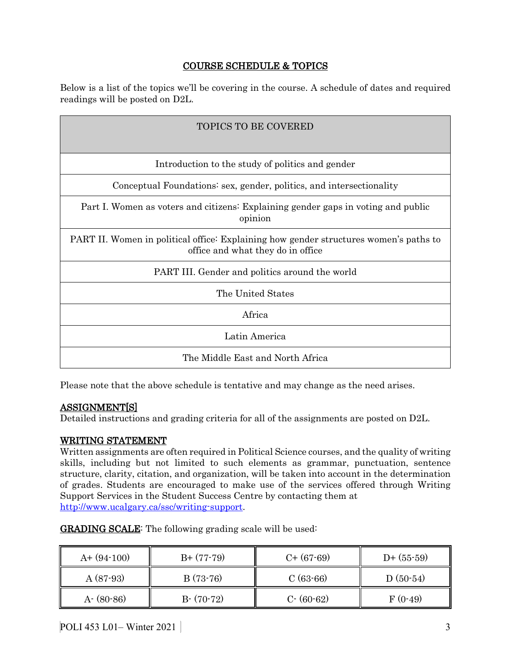# COURSE SCHEDULE & TOPICS

Below is a list of the topics we'll be covering in the course. A schedule of dates and required readings will be posted on D2L.

| <b>TOPICS TO BE COVERED</b>                                                                                                |  |  |  |  |
|----------------------------------------------------------------------------------------------------------------------------|--|--|--|--|
|                                                                                                                            |  |  |  |  |
| Introduction to the study of politics and gender                                                                           |  |  |  |  |
| Conceptual Foundations: sex, gender, politics, and intersectionality                                                       |  |  |  |  |
| Part I. Women as voters and citizens: Explaining gender gaps in voting and public<br>opinion                               |  |  |  |  |
| PART II. Women in political office: Explaining how gender structures women's paths to<br>office and what they do in office |  |  |  |  |
| PART III. Gender and politics around the world                                                                             |  |  |  |  |
| The United States                                                                                                          |  |  |  |  |
| Africa                                                                                                                     |  |  |  |  |
| Latin America                                                                                                              |  |  |  |  |
| The Middle East and North Africa                                                                                           |  |  |  |  |

Please note that the above schedule is tentative and may change as the need arises.

# ASSIGNMENT[S]

Detailed instructions and grading criteria for all of the assignments are posted on D2L.

# WRITING STATEMENT

Written assignments are often required in Political Science courses, and the quality of writing skills, including but not limited to such elements as grammar, punctuation, sentence structure, clarity, citation, and organization, will be taken into account in the determination of grades. Students are encouraged to make use of the services offered through Writing Support Services in the Student Success Centre by contacting them at [http://www.ucalgary.ca/ssc/writing-support.](http://www.ucalgary.ca/ssc/writing-support)

| $A+ (94-100)$ | $B+ (77-79)$ | $C+$ (67-69)  | $D+$ (55-59) |
|---------------|--------------|---------------|--------------|
| $A(87-93)$    | $B(73-76)$   | $C(63-66)$    | $D(50-54)$   |
| $A - (80-86)$ | $B-(70-72)$  | $C - (60-62)$ | $F(0-49)$    |

GRADING SCALE: The following grading scale will be used: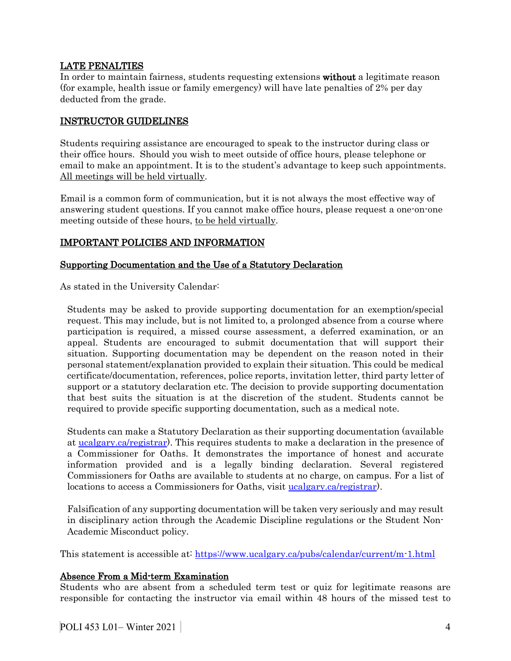## LATE PENALTIES

In order to maintain fairness, students requesting extensions without a legitimate reason (for example, health issue or family emergency) will have late penalties of 2% per day deducted from the grade.

## INSTRUCTOR GUIDELINES

Students requiring assistance are encouraged to speak to the instructor during class or their office hours. Should you wish to meet outside of office hours, please telephone or email to make an appointment. It is to the student's advantage to keep such appointments. All meetings will be held virtually.

Email is a common form of communication, but it is not always the most effective way of answering student questions. If you cannot make office hours, please request a one-on-one meeting outside of these hours, to be held virtually.

# IMPORTANT POLICIES AND INFORMATION

## Supporting Documentation and the Use of a Statutory Declaration

As stated in the University Calendar:

Students may be asked to provide supporting documentation for an exemption/special request. This may include, but is not limited to, a prolonged absence from a course where participation is required, a missed course assessment, a deferred examination, or an appeal. Students are encouraged to submit documentation that will support their situation. Supporting documentation may be dependent on the reason noted in their personal statement/explanation provided to explain their situation. This could be medical certificate/documentation, references, police reports, invitation letter, third party letter of support or a statutory declaration etc. The decision to provide supporting documentation that best suits the situation is at the discretion of the student. Students cannot be required to provide specific supporting documentation, such as a medical note.

Students can make a Statutory Declaration as their supporting documentation (available at [ucalgary.ca/registrar\)](http://www.ucalgary.ca/registrar). This requires students to make a declaration in the presence of a Commissioner for Oaths. It demonstrates the importance of honest and accurate information provided and is a legally binding declaration. Several registered Commissioners for Oaths are available to students at no charge, on campus. For a list of locations to access a Commissioners for Oaths, visit [ucalgary.ca/registrar\)](http://www.ucalgary.ca/registrar).

Falsification of any supporting documentation will be taken very seriously and may result in disciplinary action through the Academic Discipline regulations or the Student Non-Academic Misconduct policy.

This statement is accessible at:<https://www.ucalgary.ca/pubs/calendar/current/m-1.html>

### Absence From a Mid-term Examination

Students who are absent from a scheduled term test or quiz for legitimate reasons are responsible for contacting the instructor via email within 48 hours of the missed test to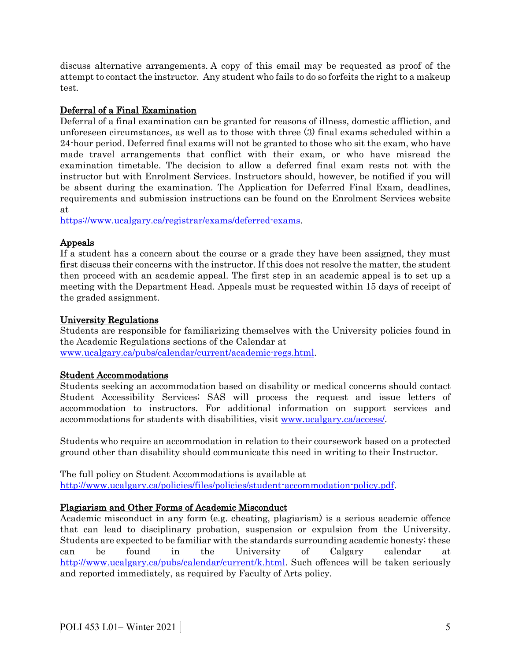discuss alternative arrangements. A copy of this email may be requested as proof of the attempt to contact the instructor. Any student who fails to do so forfeits the right to a makeup test.

# Deferral of a Final Examination

Deferral of a final examination can be granted for reasons of illness, domestic affliction, and unforeseen circumstances, as well as to those with three (3) final exams scheduled within a 24-hour period. Deferred final exams will not be granted to those who sit the exam, who have made travel arrangements that conflict with their exam, or who have misread the examination timetable. The decision to allow a deferred final exam rests not with the instructor but with Enrolment Services. Instructors should, however, be notified if you will be absent during the examination. The Application for Deferred Final Exam, deadlines, requirements and submission instructions can be found on the Enrolment Services website at

[https://www.ucalgary.ca/registrar/exams/deferred-exams.](https://www.ucalgary.ca/registrar/exams/deferred-exams)

# Appeals

If a student has a concern about the course or a grade they have been assigned, they must first discuss their concerns with the instructor. If this does not resolve the matter, the student then proceed with an academic appeal. The first step in an academic appeal is to set up a meeting with the Department Head. Appeals must be requested within 15 days of receipt of the graded assignment.

# University Regulations

Students are responsible for familiarizing themselves with the University policies found in the Academic Regulations sections of the Calendar at [www.ucalgary.ca/pubs/calendar/current/academic-regs.html.](http://www.ucalgary.ca/pubs/calendar/current/academic-regs.html)

# Student Accommodations

Students seeking an accommodation based on disability or medical concerns should contact Student Accessibility Services; SAS will process the request and issue letters of accommodation to instructors. For additional information on support services and accommodations for students with disabilities, visit [www.ucalgary.ca/access/.](http://www.ucalgary.ca/access/)

Students who require an accommodation in relation to their coursework based on a protected ground other than disability should communicate this need in writing to their Instructor.

The full policy on Student Accommodations is available at [http://www.ucalgary.ca/policies/files/policies/student-accommodation-policy.pdf.](http://www.ucalgary.ca/policies/files/policies/student-accommodation-policy.pdf)

# Plagiarism and Other Forms of Academic Misconduct

Academic misconduct in any form (e.g. cheating, plagiarism) is a serious academic offence that can lead to disciplinary probation, suspension or expulsion from the University. Students are expected to be familiar with the standards surrounding academic honesty; these can be found in the University of Calgary calendar at [http://www.ucalgary.ca/pubs/calendar/current/k.html.](http://www.ucalgary.ca/pubs/calendar/current/k.html) Such offences will be taken seriously and reported immediately, as required by Faculty of Arts policy.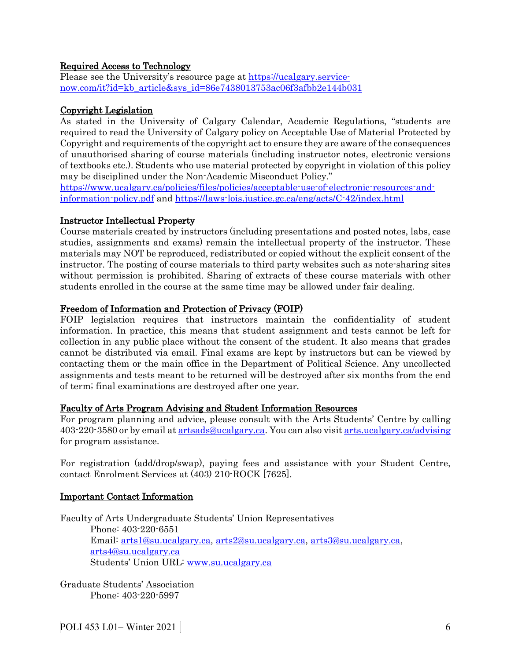## Required Access to Technology

Please see the University's resource page at [https://ucalgary.service](https://ucalgary.service-now.com/it?id=kb_article&sys_id=86e7438013753ac06f3afbb2e144b031)[now.com/it?id=kb\\_article&sys\\_id=86e7438013753ac06f3afbb2e144b031](https://ucalgary.service-now.com/it?id=kb_article&sys_id=86e7438013753ac06f3afbb2e144b031)

#### Copyright Legislation

As stated in the University of Calgary Calendar, Academic Regulations, "students are required to read the University of Calgary policy on Acceptable Use of Material Protected by Copyright and requirements of the copyright act to ensure they are aware of the consequences of unauthorised sharing of course materials (including instructor notes, electronic versions of textbooks etc.). Students who use material protected by copyright in violation of this policy may be disciplined under the Non-Academic Misconduct Policy."

[https://www.ucalgary.ca/policies/files/policies/acceptable-use-of-electronic-resources-and](https://www.ucalgary.ca/policies/files/policies/acceptable-use-of-electronic-resources-and-information-policy.pdf)[information-policy.pdf](https://www.ucalgary.ca/policies/files/policies/acceptable-use-of-electronic-resources-and-information-policy.pdf) and<https://laws-lois.justice.gc.ca/eng/acts/C-42/index.html>

#### Instructor Intellectual Property

Course materials created by instructors (including presentations and posted notes, labs, case studies, assignments and exams) remain the intellectual property of the instructor. These materials may NOT be reproduced, redistributed or copied without the explicit consent of the instructor. The posting of course materials to third party websites such as note-sharing sites without permission is prohibited. Sharing of extracts of these course materials with other students enrolled in the course at the same time may be allowed under fair dealing.

#### Freedom of Information and Protection of Privacy (FOIP)

FOIP legislation requires that instructors maintain the confidentiality of student information. In practice, this means that student assignment and tests cannot be left for collection in any public place without the consent of the student. It also means that grades cannot be distributed via email. Final exams are kept by instructors but can be viewed by contacting them or the main office in the Department of Political Science. Any uncollected assignments and tests meant to be returned will be destroyed after six months from the end of term; final examinations are destroyed after one year.

### Faculty of Arts Program Advising and Student Information Resources

For program planning and advice, please consult with the Arts Students' Centre by calling 403-220-3580 or by email a[t artsads@ucalgary.ca.](mailto:artsads@ucalgary.ca) You can also visi[t arts.ucalgary.ca/advising](http://arts.ucalgary.ca/advising) for program assistance.

For registration (add/drop/swap), paying fees and assistance with your Student Centre, contact Enrolment Services at (403) 210-ROCK [7625].

### Important Contact Information

Faculty of Arts Undergraduate Students' Union Representatives Phone: 403-220-6551 Email: [arts1@su.ucalgary.ca,](mailto:arts1@su.ucalgary.ca) [arts2@su.ucalgary.ca,](mailto:arts2@su.ucalgary.ca) [arts3@su.ucalgary.ca,](mailto:arts3@su.ucalgary.ca) [arts4@su.ucalgary.ca](mailto:arts4@su.ucalgary.ca) Students' Union URL: [www.su.ucalgary.ca](http://www.su.ucalgary.ca/)

Graduate Students' Association Phone: 403-220-5997